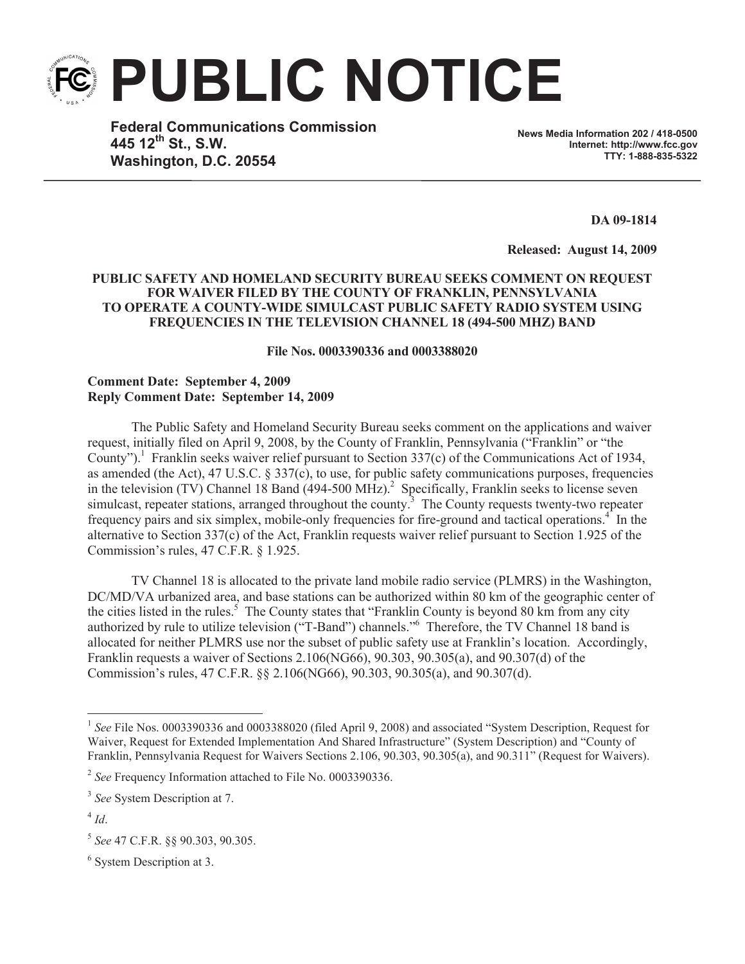**PUBLIC NOTICE**

**Federal Communications Commission 445 12th St., S.W. Washington, D.C. 20554**

**News Media Information 202 / 418-0500 Internet: http://www.fcc.gov TTY: 1-888-835-5322**

**DA 09-1814**

**Released: August 14, 2009** 

## **PUBLIC SAFETY AND HOMELAND SECURITY BUREAU SEEKS COMMENT ON REQUEST FOR WAIVER FILED BY THE COUNTY OF FRANKLIN, PENNSYLVANIA TO OPERATE A COUNTY-WIDE SIMULCAST PUBLIC SAFETY RADIO SYSTEM USING FREQUENCIES IN THE TELEVISION CHANNEL 18 (494-500 MHZ) BAND**

**File Nos. 0003390336 and 0003388020**

## **Comment Date: September 4, 2009 Reply Comment Date: September 14, 2009**

The Public Safety and Homeland Security Bureau seeks comment on the applications and waiver request, initially filed on April 9, 2008, by the County of Franklin, Pennsylvania ("Franklin" or "the County").<sup>1</sup> Franklin seeks waiver relief pursuant to Section 337(c) of the Communications Act of 1934, as amended (the Act), 47 U.S.C. § 337(c), to use, for public safety communications purposes, frequencies in the television (TV) Channel 18 Band  $(494-500 \text{ MHz})^2$  Specifically, Franklin seeks to license seven simulcast, repeater stations, arranged throughout the county.<sup>3</sup> The County requests twenty-two repeater frequency pairs and six simplex, mobile-only frequencies for fire-ground and tactical operations.<sup>4</sup> In the alternative to Section 337(c) of the Act, Franklin requests waiver relief pursuant to Section 1.925 of the Commission's rules, 47 C.F.R. § 1.925.

TV Channel 18 is allocated to the private land mobile radio service (PLMRS) in the Washington, DC/MD/VA urbanized area, and base stations can be authorized within 80 km of the geographic center of the cities listed in the rules.<sup>5</sup> The County states that "Franklin County is beyond 80 km from any city authorized by rule to utilize television ("T-Band") channels."<sup>6</sup> Therefore, the TV Channel 18 band is allocated for neither PLMRS use nor the subset of public safety use at Franklin's location. Accordingly, Franklin requests a waiver of Sections 2.106(NG66), 90.303, 90.305(a), and 90.307(d) of the Commission's rules, 47 C.F.R. §§ 2.106(NG66), 90.303, 90.305(a), and 90.307(d).

<sup>6</sup> System Description at 3.

<sup>&</sup>lt;sup>1</sup> See File Nos. 0003390336 and 0003388020 (filed April 9, 2008) and associated "System Description, Request for Waiver, Request for Extended Implementation And Shared Infrastructure" (System Description) and "County of Franklin, Pennsylvania Request for Waivers Sections 2.106, 90.303, 90.305(a), and 90.311" (Request for Waivers).

<sup>2</sup> *See* Frequency Information attached to File No. 0003390336.

<sup>3</sup> *See* System Description at 7.

<sup>4</sup> *Id*.

<sup>5</sup> *See* 47 C.F.R. §§ 90.303, 90.305.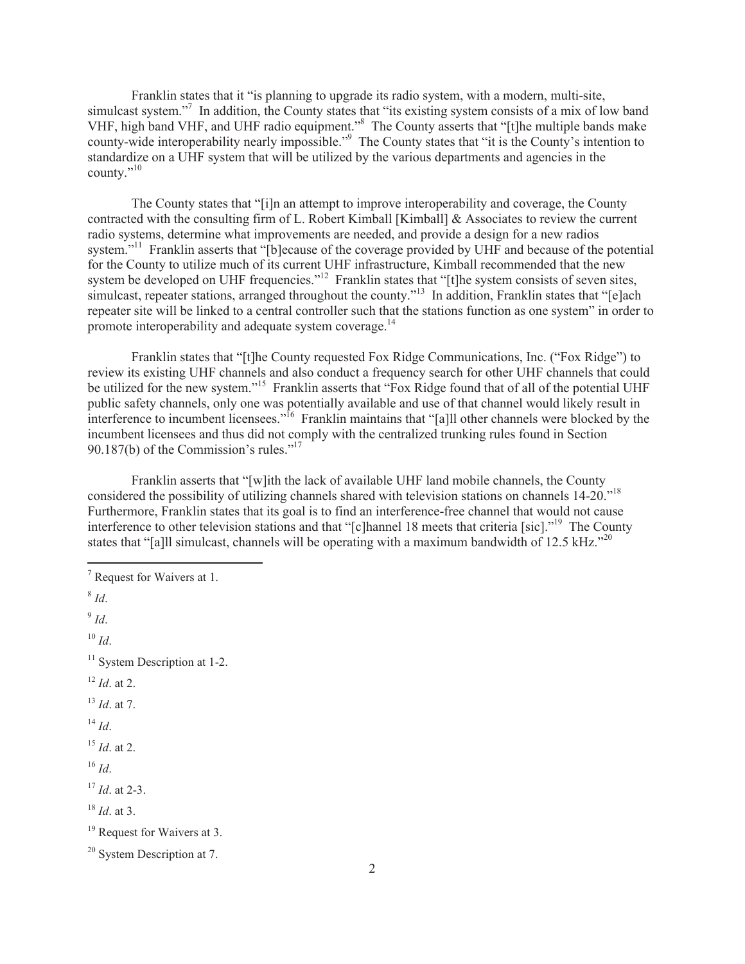Franklin states that it "is planning to upgrade its radio system, with a modern, multi-site, simulcast system."<sup>7</sup> In addition, the County states that "its existing system consists of a mix of low band VHF, high band VHF, and UHF radio equipment."<sup>8</sup> The County asserts that "[t]he multiple bands make county-wide interoperability nearly impossible."<sup>9</sup> The County states that "it is the County's intention to standardize on a UHF system that will be utilized by the various departments and agencies in the county." $10$ 

The County states that "[i]n an attempt to improve interoperability and coverage, the County contracted with the consulting firm of L. Robert Kimball [Kimball] & Associates to review the current radio systems, determine what improvements are needed, and provide a design for a new radios system.<sup>"11</sup> Franklin asserts that "[b]ecause of the coverage provided by UHF and because of the potential for the County to utilize much of its current UHF infrastructure, Kimball recommended that the new system be developed on UHF frequencies."<sup>12</sup> Franklin states that "[t]he system consists of seven sites, simulcast, repeater stations, arranged throughout the county."<sup>13</sup> In addition, Franklin states that "[e]ach repeater site will be linked to a central controller such that the stations function as one system" in order to promote interoperability and adequate system coverage.<sup>14</sup>

Franklin states that "[t]he County requested Fox Ridge Communications, Inc. ("Fox Ridge") to review its existing UHF channels and also conduct a frequency search for other UHF channels that could be utilized for the new system."<sup>15</sup> Franklin asserts that "Fox Ridge found that of all of the potential UHF public safety channels, only one was potentially available and use of that channel would likely result in interference to incumbent licensees."<sup>16</sup> Franklin maintains that "[a]ll other channels were blocked by the incumbent licensees and thus did not comply with the centralized trunking rules found in Section 90.187(b) of the Commission's rules."<sup>17</sup>

Franklin asserts that "[w]ith the lack of available UHF land mobile channels, the County considered the possibility of utilizing channels shared with television stations on channels 14-20."<sup>18</sup> Furthermore, Franklin states that its goal is to find an interference-free channel that would not cause interference to other television stations and that "[c]hannel 18 meets that criteria [sic]."<sup>19</sup> The County states that "[a]ll simulcast, channels will be operating with a maximum bandwidth of 12.5 kHz."<sup>20</sup>

<sup>7</sup> Request for Waivers at 1. 8 *Id*. 9 *Id*.  $10 \,$ *Id*.  $11$  System Description at 1-2. <sup>12</sup> *Id*. at 2. <sup>13</sup> *Id*. at 7. <sup>14</sup> *Id*. <sup>15</sup> *Id*. at 2. <sup>16</sup> *Id*. <sup>17</sup> *Id*. at 2-3. <sup>18</sup> *Id*. at 3. <sup>19</sup> Request for Waivers at 3. <sup>20</sup> System Description at 7.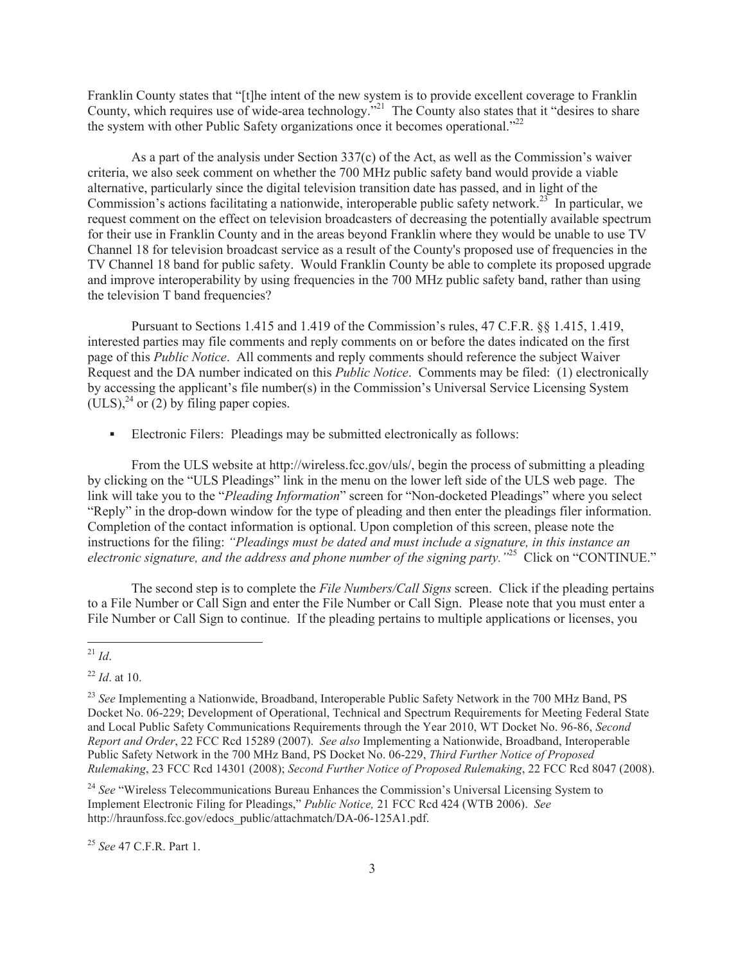Franklin County states that "[t]he intent of the new system is to provide excellent coverage to Franklin County, which requires use of wide-area technology."<sup>21</sup> The County also states that it "desires to share the system with other Public Safety organizations once it becomes operational."<sup>22</sup>

As a part of the analysis under Section 337(c) of the Act, as well as the Commission's waiver criteria, we also seek comment on whether the 700 MHz public safety band would provide a viable alternative, particularly since the digital television transition date has passed, and in light of the Commission's actions facilitating a nationwide, interoperable public safety network.<sup>23</sup> In particular, we request comment on the effect on television broadcasters of decreasing the potentially available spectrum for their use in Franklin County and in the areas beyond Franklin where they would be unable to use TV Channel 18 for television broadcast service as a result of the County's proposed use of frequencies in the TV Channel 18 band for public safety. Would Franklin County be able to complete its proposed upgrade and improve interoperability by using frequencies in the 700 MHz public safety band, rather than using the television T band frequencies?

Pursuant to Sections 1.415 and 1.419 of the Commission's rules, 47 C.F.R. §§ 1.415, 1.419, interested parties may file comments and reply comments on or before the dates indicated on the first page of this *Public Notice*. All comments and reply comments should reference the subject Waiver Request and the DA number indicated on this *Public Notice*. Comments may be filed: (1) electronically by accessing the applicant's file number(s) in the Commission's Universal Service Licensing System  $(ULS)<sup>24</sup>$  or (2) by filing paper copies.

Electronic Filers: Pleadings may be submitted electronically as follows:

From the ULS website at http://wireless.fcc.gov/uls/, begin the process of submitting a pleading by clicking on the "ULS Pleadings" link in the menu on the lower left side of the ULS web page. The link will take you to the "*Pleading Information*" screen for "Non-docketed Pleadings" where you select "Reply" in the drop-down window for the type of pleading and then enter the pleadings filer information. Completion of the contact information is optional. Upon completion of this screen, please note the instructions for the filing: *"Pleadings must be dated and must include a signature, in this instance an electronic signature, and the address and phone number of the signing party."*<sup>25</sup> Click on "CONTINUE."

The second step is to complete the *File Numbers/Call Signs* screen. Click if the pleading pertains to a File Number or Call Sign and enter the File Number or Call Sign. Please note that you must enter a File Number or Call Sign to continue. If the pleading pertains to multiple applications or licenses, you

<sup>24</sup> See "Wireless Telecommunications Bureau Enhances the Commission's Universal Licensing System to Implement Electronic Filing for Pleadings," *Public Notice,* 21 FCC Rcd 424 (WTB 2006). *See*  http://hraunfoss.fcc.gov/edocs\_public/attachmatch/DA-06-125A1.pdf.

<sup>25</sup> *See* 47 C.F.R. Part 1.

 $^{21}$  *Id*.

<sup>22</sup> *Id*. at 10.

<sup>&</sup>lt;sup>23</sup> See Implementing a Nationwide, Broadband, Interoperable Public Safety Network in the 700 MHz Band, PS Docket No. 06-229; Development of Operational, Technical and Spectrum Requirements for Meeting Federal State and Local Public Safety Communications Requirements through the Year 2010, WT Docket No. 96-86, *Second Report and Order*, 22 FCC Rcd 15289 (2007). *See also* Implementing a Nationwide, Broadband, Interoperable Public Safety Network in the 700 MHz Band, PS Docket No. 06-229, *Third Further Notice of Proposed Rulemaking*, 23 FCC Rcd 14301 (2008); *Second Further Notice of Proposed Rulemaking*, 22 FCC Rcd 8047 (2008).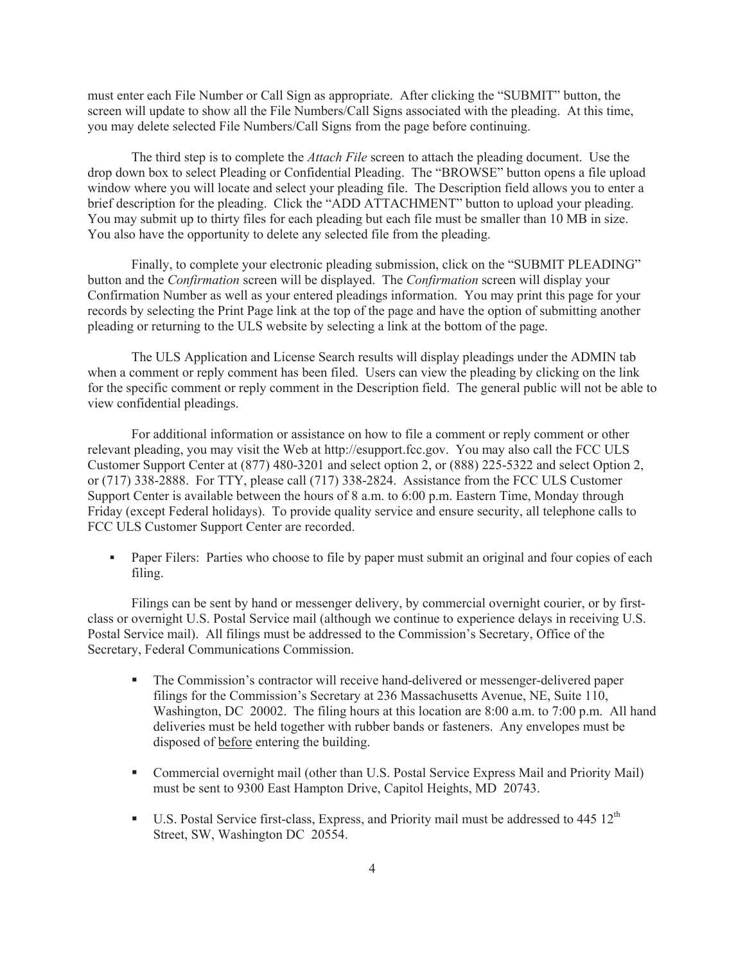must enter each File Number or Call Sign as appropriate. After clicking the "SUBMIT" button, the screen will update to show all the File Numbers/Call Signs associated with the pleading. At this time, you may delete selected File Numbers/Call Signs from the page before continuing.

The third step is to complete the *Attach File* screen to attach the pleading document. Use the drop down box to select Pleading or Confidential Pleading. The "BROWSE" button opens a file upload window where you will locate and select your pleading file. The Description field allows you to enter a brief description for the pleading. Click the "ADD ATTACHMENT" button to upload your pleading. You may submit up to thirty files for each pleading but each file must be smaller than 10 MB in size. You also have the opportunity to delete any selected file from the pleading.

Finally, to complete your electronic pleading submission, click on the "SUBMIT PLEADING" button and the *Confirmation* screen will be displayed. The *Confirmation* screen will display your Confirmation Number as well as your entered pleadings information. You may print this page for your records by selecting the Print Page link at the top of the page and have the option of submitting another pleading or returning to the ULS website by selecting a link at the bottom of the page.

The ULS Application and License Search results will display pleadings under the ADMIN tab when a comment or reply comment has been filed. Users can view the pleading by clicking on the link for the specific comment or reply comment in the Description field. The general public will not be able to view confidential pleadings.

For additional information or assistance on how to file a comment or reply comment or other relevant pleading, you may visit the Web at http://esupport.fcc.gov. You may also call the FCC ULS Customer Support Center at (877) 480-3201 and select option 2, or (888) 225-5322 and select Option 2, or (717) 338-2888. For TTY, please call (717) 338-2824. Assistance from the FCC ULS Customer Support Center is available between the hours of 8 a.m. to 6:00 p.m. Eastern Time, Monday through Friday (except Federal holidays). To provide quality service and ensure security, all telephone calls to FCC ULS Customer Support Center are recorded.

• Paper Filers: Parties who choose to file by paper must submit an original and four copies of each filing.

Filings can be sent by hand or messenger delivery, by commercial overnight courier, or by firstclass or overnight U.S. Postal Service mail (although we continue to experience delays in receiving U.S. Postal Service mail). All filings must be addressed to the Commission's Secretary, Office of the Secretary, Federal Communications Commission.

- The Commission's contractor will receive hand-delivered or messenger-delivered paper filings for the Commission's Secretary at 236 Massachusetts Avenue, NE, Suite 110, Washington, DC 20002. The filing hours at this location are 8:00 a.m. to 7:00 p.m. All hand deliveries must be held together with rubber bands or fasteners. Any envelopes must be disposed of before entering the building.
- Commercial overnight mail (other than U.S. Postal Service Express Mail and Priority Mail) must be sent to 9300 East Hampton Drive, Capitol Heights, MD 20743.
- **•** U.S. Postal Service first-class, Express, and Priority mail must be addressed to 445  $12<sup>th</sup>$ Street, SW, Washington DC 20554.